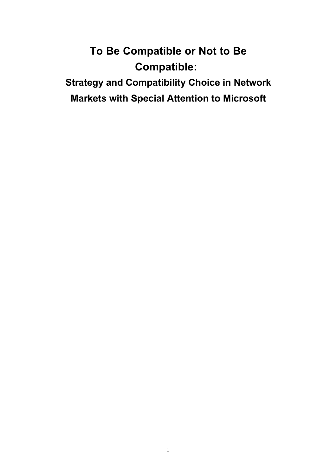# **To Be Compatible or Not to Be Compatible:**

**Strategy and Compatibility Choice in Network Markets with Special Attention to Microsoft**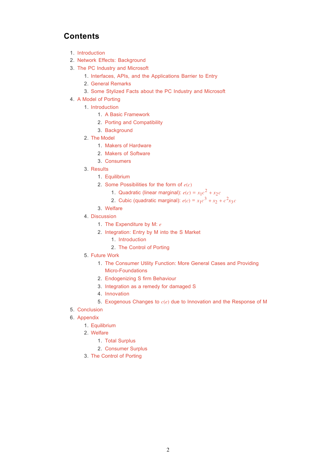# **Contents**

- 1. Introduction
- 2. Network Effects: Background
- 3. The PC Industry and Microsoft
	- 1. Interfaces, APIs, and the Applications Barrier to Entry
	- 2. General Remarks
	- 3. Some Stylized Facts about the PC Industry and Microsoft
- 4. A Model of Porting
	- 1. Introduction
		- 1. A Basic Framework
		- 2. Porting and Compatibility
		- 3. Background
	- 2. The Model
		- 1. Makers of Hardware
		- 2. Makers of Software
		- 3. Consumers
	- 3. Results
		- 1. Equilibrium
		- 2. Some Possibilities for the form of  $e(c)$ 
			- 1. Quadratic (linear marginal):  $e(c) = x_1c^2 + x_2c$
			- 2. Cubic (quadratic marginal):  $e(c) = x_1 c^3 + x_2 + c^2 x_3 c$
		- 3. Welfare
	- 4. Discussion
		- 1. The Expenditure by M: *e*
		- 2. Integration: Entry by M into the S Market
			- 1. Introduction
			- 2. The Control of Porting
	- 5. Future Work
		- 1. The Consumer Utility Function: More General Cases and Providing Micro-Foundations
		- 2. Endogenizing S firm Behaviour
		- 3. Integration as a remedy for damaged S
		- 4. Innovation
		- 5. Exogenous Changes to *c*(*e*) due to Innovation and the Response of M
- 5. Conclusion
- 6. Appendix
	- 1. Equilibrium
	- Welfare 2.
		- 1. Total Surplus
		- 2. Consumer Surplus
	- 3. The Control of Porting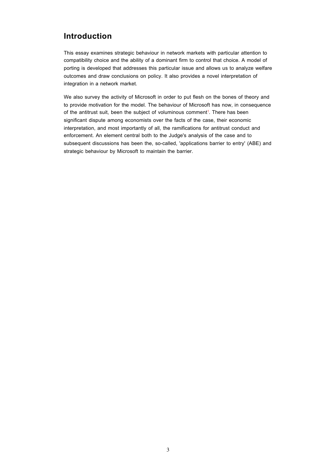# **Introduction**

This essay examines strategic behaviour in network markets with particular attention to compatibility choice and the ability of a dominant firm to control that choice. A model of porting is developed that addresses this particular issue and allows us to analyze welfare outcomes and draw conclusions on policy. It also provides a novel interpretation of integration in a network market.

We also survey the activity of Microsoft in order to put flesh on the bones of theory and to provide motivation for the model. The behaviour of Microsoft has now, in consequence of the antitrust suit, been the subject of voluminous comment<sup>1</sup>. There has been significant dispute among economists over the facts of the case, their economic interpretation, and most importantly of all, the ramifications for antitrust conduct and enforcement. An element central both to the Judge's analysis of the case and to subsequent discussions has been the, so-called, 'applications barrier to entry' (ABE) and strategic behaviour by Microsoft to maintain the barrier.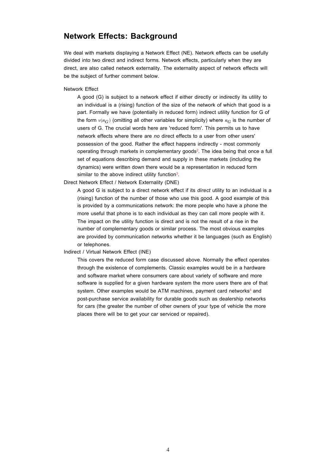# **Network Effects: Background**

We deal with markets displaying a Network Effect (NE). Network effects can be usefully divided into two direct and indirect forms. Network effects, particularly when they are direct, are also called network externality. The externality aspect of network effects will be the subject of further comment below.

#### Network Effect

A good (G) is subject to a network effect if either directly or indirectly its utility to an individual is a (rising) function of the size of the network of which that good is a part. Formally we have (potentially in reduced form) indirect utility function for G of the form  $v(n_G)$  (omitting all other variables for simplicity) where  $n_G$  is the number of users of G. The crucial words here are 'reduced form'. This permits us to have network effects where there are *no* direct effects to a user from other users' possession of the good. Rather the effect happens indirectly - most commonly operating through markets in complementary goods2. The idea being that once a full set of equations describing demand and supply in these markets (including the dynamics) were written down there would be a representation in reduced form similar to the above indirect utility function<sup>3</sup>.

Direct Network Effect / Network Externality (DNE)

A good G is subject to a direct network effect if its *direct* utility to an individual is a (rising) function of the number of those who use this good. A good example of this is provided by a communications network: the more people who have a phone the more useful that phone is to each individual as they can call more people with it. The impact on the utility function is direct and is not the result of a rise in the number of complementary goods or similar process. The most obvious examples are provided by communication networks whether it be languages (such as English) or telephones.

#### Indirect / Virtual Network Effect (INE)

This covers the reduced form case discussed above. Normally the effect operates through the existence of complements. Classic examples would be in a hardware and software market where consumers care about variety of software and more software is supplied for a given hardware system the more users there are of that system. Other examples would be ATM machines, payment card networks<sup>4</sup> and post-purchase service availability for durable goods such as dealership networks for cars (the greater the number of other owners of your type of vehicle the more places there will be to get your car serviced or repaired).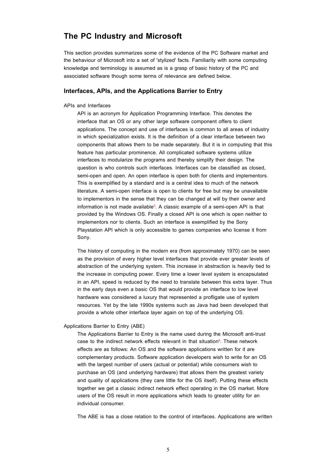# **The PC Industry and Microsoft**

This section provides summarizes some of the evidence of the PC Software market and the behaviour of Microsoft into a set of 'stylized' facts. Familiarity with some computing knowledge and terminology is assumed as is a grasp of basic history of the PC and associated software though some terms of relevance are defined below.

### **Interfaces, APIs, and the Applications Barrier to Entry**

APIs and Interfaces

API is an acronym for Application Programming Interface. This denotes the interface that an OS or any other large software component offers to client applications. The concept and use of interfaces is common to all areas of industry in which specialization exists. It is the definition of a clear interface between two components that allows them to be made separately. But it is in computing that this feature has particular prominence. All complicated software systems utilize interfaces to modularize the programs and thereby simplify their design. The question is who controls such interfaces. Interfaces can be classified as closed, semi-open and open. An open interface is open both for clients and implementors. This is exemplified by a standard and is a central idea to much of the network literature. A semi-open interface is open to clients for free but may be unavailable to implementors in the sense that they can be changed at will by their owner and information is not made available<sup>5</sup>. A classic example of a semi-open API is that provided by the Windows OS. Finally a closed API is one which is open neither to implementors nor to clients. Such an interface is exemplified by the Sony Playstation API which is only accessible to games companies who license it from Sony.

The history of computing in the modern era (from approximately 1970) can be seen as the provision of every higher level interfaces that provide ever greater levels of abstraction of the underlying system. This increase in abstraction is heavily tied to the increase in computing power. Every time a lower level system is encapsulated in an API, speed is reduced by the need to translate between this extra layer. Thus in the early days even a basic OS that would provide an interface to low level hardware was considered a luxury that represented a profligate use of system resources. Yet by the late 1990s systems such as Java had been developed that provide a whole other interface layer again on top of the underlying OS.

Applications Barrier to Entry (ABE)

The Applications Barrier to Entry is the name used during the Microsoft anti-trust case to the indirect network effects relevant in that situation<sup>6</sup>. These network effects are as follows: An OS and the software applications written for it are complementary products. Software application developers wish to write for an OS with the largest number of users (actual or potential) while consumers wish to purchase an OS (and underlying hardware) that allows them the greatest variety and quality of applications (they care little for the OS itself). Putting these effects together we get a classic indirect network effect operating in the OS market. More users of the OS result in more applications which leads to greater utility for an individual consumer.

The ABE is has a close relation to the control of interfaces. Applications are written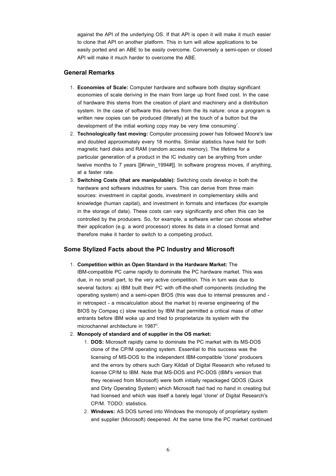against the API of the underlying OS. If that API is open it will make it much easier to clone that API on another platform. This in turn will allow applications to be easily ported and an ABE to be easily overcome. Conversely a semi-open or closed API will make it much harder to overcome the ABE.

# **General Remarks**

- **Economies of Scale:** Computer hardware and software both display significant 1. economies of scale deriving in the main from large up front fixed cost. In the case of hardware this stems from the creation of plant and machinery and a distribution system. In the case of software this derives from the its nature: once a program is written new copies can be produced (literally) at the touch of a button but the development of the initial working copy may be very time consuming<sup>7</sup>.
- **Technologically fast moving:** Computer processing power has followed Moore's law 2. and doubled approximately every 18 months. Similar statistics have held for both magnetic hard disks and RAM (random access memory). The lifetime for a particular generation of a product in the IC industry can be anything from under twelve months to 7 years [[#irwin 1994#]]. In software progress moves, if anything, at a faster rate.
- 3. **Switching Costs (that are manipulable):** Switching costs develop in both the hardware and software industries for users. This can derive from three main sources: investment in capital goods, investment in complementary skills and knowledge (human capital), and investment in formats and interfaces (for example in the storage of data). These costs can vary significantly and often this can be controlled by the producers. So, for example, a software writer can choose whether their application (e.g. a word processor) stores its data in a closed format and therefore make it harder to switch to a competing product.

# **Some Stylized Facts about the PC Industry and Microsoft**

**Competition within an Open Standard in the Hardware Market:** The 1. IBM-compatible PC came rapidly to dominate the PC hardware market. This was due, in no small part, to the very active competition. This in turn was due to several factors: a) IBM built their PC with off-the-shelf components (including the operating system) and a semi-open BIOS (this was due to internal pressures and in retrospect - a miscalculation about the market b) reverse engineering of the BIOS by Compaq c) slow reaction by IBM that permitted a critical mass of other entrants before IBM woke up and tried to proprietarize its system with the microchannel architecture in 1987<sup>8</sup>.

### **Monopoly of standard and of supplier in the OS market:** 2.

- **DOS:** Microsoft rapidly came to dominate the PC market with its MS-DOS 1. clone of the CP/M operating system. Essential to this success was the licensing of MS-DOS to the independent IBM-compatible 'clone' producers and the errors by others such Gary Kildall of Digital Research who refused to license CP/M to IBM. Note that MS-DOS and PC-DOS (IBM's version that they received from Microsoft) were both initially repackaged QDOS (Quick and Dirty Operating System) which Microsoft had had no hand in creating but had licensed and which was itself a barely legal 'clone' of Digital Research's CP/M. TODO: statistics.
- **Windows:** AS DOS turned into Windows the monopoly of proprietary system 2. and supplier (Microsoft) deepened. At the same time the PC market continued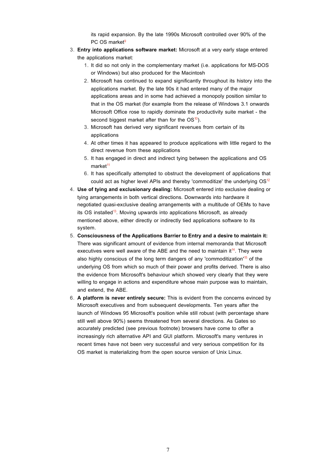its rapid expansion. By the late 1990s Microsoft controlled over 90% of the PC OS market<sup>9</sup>

- **Entry into applications software market:** Microsoft at a very early stage entered 3. the applications market:
	- 1. It did so not only in the complementary market (i.e. applications for MS-DOS or Windows) but also produced for the Macintosh
	- 2. Microsoft has continued to expand significantly throughout its history into the applications market. By the late 90s it had entered many of the major applications areas and in some had achieved a monopoly position similar to that in the OS market (for example from the release of Windows 3.1 onwards Microsoft Office rose to rapidly dominate the productivity suite market - the second biggest market after than for the  $OS^{10}$ ).
	- Microsoft has derived very significant revenues from certain of its 3. applications
	- At other times it has appeared to produce applications with little regard to the 4. direct revenue from these applications
	- 5. It has engaged in direct and indirect tying between the applications and OS  $market<sup>11</sup>$
	- 6. It has specifically attempted to obstruct the development of applications that could act as higher level APIs and thereby 'commoditize' the underlying  $OS<sup>12</sup>$
- **Use of tying and exclusionary dealing:** Microsoft entered into exclusive dealing or 4. tying arrangements in both vertical directions. Downwards into hardware it negotiated quasi-exclusive dealing arrangements with a multitude of OEMs to have its OS installed<sup>13</sup>. Moving upwards into applications Microsoft, as already mentioned above, either directly or indirectly tied applications software to its system.
- **Consciousness of the Applications Barrier to Entry and a desire to maintain it:** 5. There was significant amount of evidence from internal memoranda that Microsoft executives were well aware of the ABE and the need to maintain it<sup>14</sup>. They were also highly conscious of the long term dangers of any 'commoditization'<sup>15</sup> of the underlying OS from which so much of their power and profits derived. There is also the evidence from Microsoft's behaviour which showed very clearly that they were willing to engage in actions and expenditure whose main purpose was to maintain, and extend, the ABE.
- **A platform is never entirely secure:** This is evident from the concerns evinced by 6.Microsoft executives and from subsequent developments. Ten years after the launch of Windows 95 Microsoft's position while still robust (with percentage share still well above 90%) seems threatened from several directions. As Gates so accurately predicted (see previous footnote) browsers have come to offer a increasingly rich alternative API and GUI platform. Microsoft's many ventures in recent times have not been very successful and very serious competition for its OS market is materializing from the open source version of Unix Linux.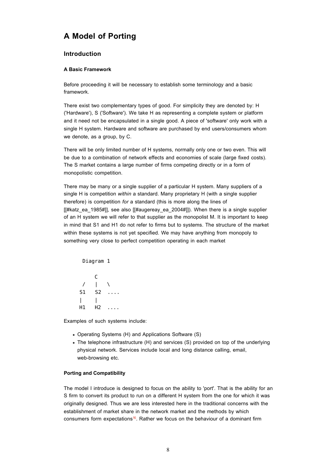# **A Model of Porting**

# **Introduction**

### **A Basic Framework**

Before proceeding it will be necessary to establish some terminology and a basic framework.

There exist two complementary types of good. For simplicity they are denoted by: H ('Hardware'), S ('Software'). We take H as representing a complete system or platform and it need not be encapsulated in a single good. A piece of 'software' only work with a single H system. Hardware and software are purchased by end users/consumers whom we denote, as a group, by C.

There will be only limited number of H systems, normally only one or two even. This will be due to a combination of network effects and economies of scale (large fixed costs). The S market contains a large number of firms competing directly or in a form of monopolistic competition.

There may be many or a single supplier of a particular H system. Many suppliers of a single H is competition *within* a standard. Many proprietary H (with a single supplier therefore) is competition *for* a standard (this is more along the lines of [[#katz\_ea\_1985#]], see also [[#augereay\_ea\_2004#]]). When there is a single supplier of an H system we will refer to that supplier as the monopolist M. It is important to keep in mind that S1 and H1 do not refer to firms but to systems. The structure of the market within these systems is not yet specified. We may have anything from monopoly to something very close to perfect competition operating in each market

Diagram 1

|    | C              |    |
|----|----------------|----|
|    | L              |    |
| S1 | S2             | Ш. |
|    |                |    |
| Η1 | H <sub>2</sub> |    |

Examples of such systems include:

- Operating Systems (H) and Applications Software (S)
- The telephone infrastructure (H) and services (S) provided on top of the underlying physical network. Services include local and long distance calling, email, web-browsing etc.

### **Porting and Compatibility**

The model I introduce is designed to focus on the ability to 'port'. That is the ability for an S firm to convert its product to run on a different H system from the one for which it was originally designed. Thus we are less interested here in the traditional concerns with the establishment of market share in the network market and the methods by which consumers form expectations<sup>16</sup>. Rather we focus on the behaviour of a dominant firm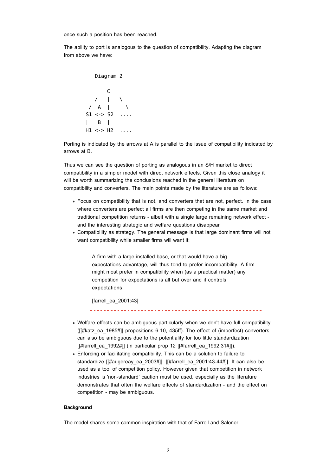once such a position has been reached.

The ability to port is analogous to the question of compatibility. Adapting the diagram from above we have:

 Diagram 2 C / | \ / A | \ S1 <-> S2 .... | B | H1 <-> H2 ....

Porting is indicated by the arrows at A is parallel to the issue of compatibility indicated by arrows at B.

Thus we can see the question of porting as analogous in an S/H market to direct compatibility in a simpler model with direct network effects. Given this close analogy it will be worth summarizing the conclusions reached in the general literature on compatibility and converters. The main points made by the literature are as follows:

- Focus on compatibility that is not, and converters that are not, perfect. In the case where converters are perfect all firms are then competing in the same market and traditional competition returns - albeit with a single large remaining network effect and the interesting strategic and welfare questions disappear
- Compatibility as strategy. The general message is that large dominant firms will not want compatibility while smaller firms will want it:

A firm with a large installed base, or that would have a big expectations advantage, will thus tend to prefer incompatibility. A firm might most prefer in compatibility when (as a practical matter) any competition for expectations is all but over and it controls expectations.

[farrell\_ea\_2001:43]

- Welfare effects can be ambiguous particularly when we don't have full compatibility ([[#katz\_ea\_1985#]] propositions 6-10, 435ff). The effect of (imperfect) converters can also be ambiguous due to the potentiality for too little standardization  $[$  [#farrell ea 1992#]] (in particular prop 12  $[$ #farrell ea 1992:31#]]).
- Enforcing or facilitating compatibility. This can be a solution to failure to standardize [[#augereay\_ea\_2003#]], [[#farrell\_ea\_2001:43-44#]]. It can also be used as a tool of competition policy. However given that competition in network industries is 'non-standard' caution must be used, especially as the literature demonstrates that often the welfare effects of standardization - and the effect on competition - may be ambiguous.

#### **Background**

The model shares some common inspiration with that of Farrell and Saloner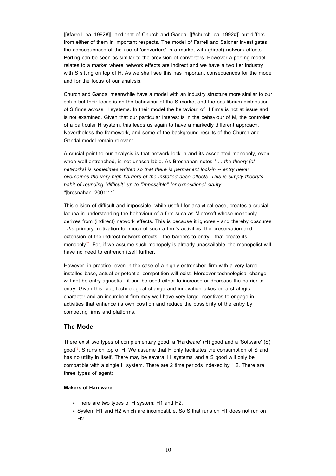[#farrell ea 1992#]], and that of Church and Gandal [[#church\_ea\_1992#]] but differs from either of them in important respects. The model of Farrell and Saloner investigates the consequences of the use of 'converters' in a market with (direct) network effects. Porting can be seen as similar to the provision of converters. However a porting model relates to a market where network effects are indirect and we have a two tier industry with S sitting on top of H. As we shall see this has important consequences for the model and for the focus of our analysis.

Church and Gandal meanwhile have a model with an industry structure more similar to our setup but their focus is on the behaviour of the S market and the equilibrium distribution of S firms across H systems. In their model the behaviour of H firms is not at issue and is not examined. Given that our particular interest is in the behaviour of M, the controller of a particular H system, this leads us again to have a markedly different approach. Nevertheless the framework, and some of the background results of the Church and Gandal model remain relevant.

A crucial point to our analysis is that network lock-in and its associated monopoly, even when well-entrenched, is not unassailable. As Bresnahan notes *" ... the theory [of networks] is sometimes written so that there is permanent lock-in -- entry never overcomes the very high barriers of the installed base effects. This is simply theory's habit of rounding "difficult" up to "impossible" for expositional clarity. "*[bresnahan\_2001:11]

This elision of difficult and impossible, while useful for analytical ease, creates a crucial lacuna in understanding the behaviour of a firm such as Microsoft whose monopoly derives from (indirect) network effects. This is because it ignores - and thereby obscures - *the* primary motivation for much of such a firm's activities: the preservation and extension of the indirect network effects - the barriers to entry - that create its monopoly<sup>17</sup>. For, if we assume such monopoly is already unassailable, the monopolist will have no need to entrench itself further.

However, in practice, even in the case of a highly entrenched firm with a very large installed base, actual or potential competition will exist. Moreover technological change will not be entry agnostic - it can be used either to increase or decrease the barrier to entry. Given this fact, technological change and innovation takes on a strategic character and an incumbent firm may well have very large incentives to engage in activities that enhance its own position and reduce the possibility of the entry by competing firms and platforms.

### **The Model**

There exist two types of complementary good: a 'Hardware' (H) good and a 'Software' (S)  $good^{18}$ . S runs on top of H. We assume that H only facilitates the consumption of S and has no utility in itself. There may be several H 'systems' and a S good will only be compatible with a single H system. There are 2 time periods indexed by 1,2. There are three types of agent:

#### **Makers of Hardware**

- There are two types of H system: H1 and H2.
- System H1 and H2 which are incompatible. So S that runs on H1 does not run on  $H2.$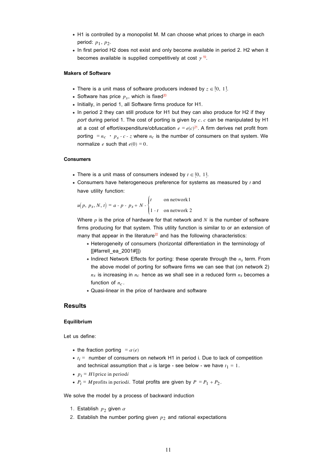- H1 is controlled by a monopolist M. M can choose what prices to charge in each period: *p*1, *p*2.
- In first period H2 does not exist and only become available in period 2. H2 when it becomes available is supplied competitively at cost  $\gamma^{19}$ .

#### **Makers of Software**

- There is a unit mass of software producers indexed by  $z \in [0, 1]$ .
- Software has price  $p_s$ , which is fixed<sup>20</sup>
- Initially, in period 1, all Software firms produce for H1.
- In period 2 they can still produce for H1 but they can also produce for H2 if they *port* during period 1. The cost of porting is given by *c*. *c* can be manipulated by H1 at a cost of effort/expenditure/obfuscation  $e = e(c)^{21}$ . A firm derives net profit from porting =  $n_c \cdot p_s - c - z$  where  $n_c$  is the number of consumers on that system. We normalize  $e$  such that  $e(0) = 0$ .

#### **Consumers**

- There is a unit mass of consumers indexed by  $t \in [0, 1]$ .
- Consumers have heterogeneous preference for systems as measured by *t* and have utility function:

$$
u(p, p_s, N, t) = a - p - p_s + N - \begin{cases} t & \text{on network1} \\ 1 - t & \text{on network 2} \end{cases}
$$

Where *p* is the price of hardware for that network and *N* is the number of software firms producing for that system. This utility function is similar to or an extension of many that appear in the literature<sup>22</sup> and has the following characteristics:

- Heterogeneity of consumers (horizontal differentiation in the terminology of [[#farrell\_ea\_2001#]])
- Indirect Network Effects for porting: these operate through the  $n_s$  term. From the above model of porting for software firms we can see that (on network 2)  $n<sub>s</sub>$  is increasing in  $n<sub>c</sub>$  hence as we shall see in a reduced form  $n<sub>s</sub>$  becomes a function of  $n_c$ .
- Quasi-linear in the price of hardware and software

### **Results**

#### **Equilibrium**

Let us define:

- the fraction porting  $= \alpha(e)$
- $t_i$  = number of consumers on network H1 in period i. Due to lack of competition and technical assumption that  $a$  is large - see below - we have  $t_1 = 1$ .
- $p_i = H1$  price in period*i*
- $P_i = M$  profits in period*i*. Total profits are given by  $P = P_1 + P_2$ .

We solve the model by a process of backward induction

- 1. Establish  $p_2$  given  $\alpha$
- 2. Establish the number porting given  $p_2$  and rational expectations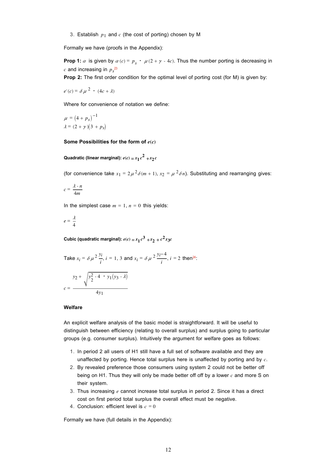3. Establish  $p_1$  and  $c$  (the cost of porting) chosen by M

Formally we have (proofs in the Appendix):

**Prop 1:**  $\alpha$  is given by  $\alpha$  (c) =  $p_s \cdot \mu(2 + \gamma - 4c)$ . Thus the number porting is decreasing in  $c$  and increasing in  $p_s^{\, 23}$ 

**Prop 2:** The first order condition for the optimal level of porting cost (for M) is given by:

 $e'(c) = \delta \mu^2 \cdot (4c + \lambda)$ 

Where for convenience of notation we define:

$$
\mu = (4 + p_s)^{-1}
$$

$$
\lambda = (2 + \gamma)(3 + p_s)
$$

#### **Some Possibilities for the form of** *e***(***c***)**

Quadratic (linear marginal):  $e(c) = x_1 c^2 + x_2 c$ 

(for convenience take  $x_1 = 2 \mu^2 \delta(m + 1)$ ,  $x_2 = \mu^2 \delta n$ ). Substituting and rearranging gives:

$$
c = \frac{\lambda - n}{4m}
$$

In the simplest case  $m = 1$ ,  $n = 0$  this yields:

$$
e=\frac{\lambda}{4}
$$

**Cubic (quadratic marginal):**  $e(c) = x_1 c^3 + x_2 + c^2 x_3 c$ 

Take 
$$
x_i = \delta \mu^2 \frac{y_i}{i}
$$
,  $i = 1, 3$  and  $x_i = \delta \mu^2 \frac{y_i - 4}{i}$ ,  $i = 2$  then<sup>24</sup>:  

$$
y_2 + \sqrt{y_2^2 - 4 + y_1(y_3 - \lambda)}
$$

$$
c = \frac{4y_1}{}
$$

#### **Welfare**

An explicit welfare analysis of the basic model is straightforward. It will be useful to distinguish between efficiency (relating to overall surplus) and surplus going to particular groups (e.g. consumer surplus). Intuitively the argument for welfare goes as follows:

- 1. In period 2 all users of H1 still have a full set of software available and they are unaffected by porting. Hence total surplus here is unaffected by porting and by *c*.
- 2. By revealed preference those consumers using system 2 could not be better off being on H1. Thus they will only be made better off off by a lower *c* and more S on their system.
- 3. Thus increasing  $e$  cannot increase total surplus in period 2. Since it has a direct cost on first period total surplus the overall effect must be negative.
- 4. Conclusion: efficient level is  $c = 0$

Formally we have (full details in the Appendix):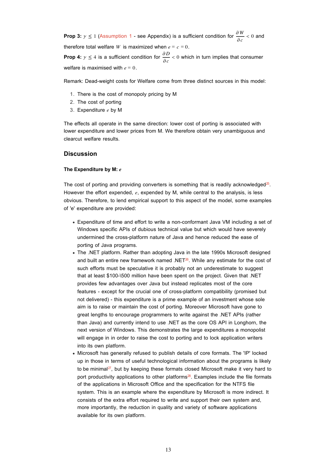**Prop 3:**  $\gamma \le 1$  (Assumption 1 - see Appendix) is a sufficient condition for  $\frac{\partial W}{\partial c} < 0$  and therefore total welfare *W* is maximized when  $e = c = 0$ . **Prop 4:**  $\gamma \leq 4$  is a sufficient condition for  $\frac{\partial D}{\partial c} < 0$  which in turn implies that consumer

welfare is maximised with  $e = 0$ .

Remark: Dead-weight costs for Welfare come from three distinct sources in this model:

- 1. There is the cost of monopoly pricing by M
- 2. The cost of porting
- 3. Expenditure *e* by M

The effects all operate in the same direction: lower cost of porting is associated with lower expenditure and lower prices from M. We therefore obtain very unambiguous and clearcut welfare results.

#### **Discussion**

#### **The Expenditure by M:** *e*

The cost of porting and providing converters is something that is readily acknowledged $25$ . However the effort expended, *e*, expended by M, while central to the analysis, is less obvious. Therefore, to lend empirical support to this aspect of the model, some examples of 'e' expenditure are provided:

- Expenditure of time and effort to write a non-conformant Java VM including a set of Windows specific APIs of dubious technical value but which would have severely undermined the cross-platform nature of Java and hence reduced the ease of porting of Java programs.
- The .NET platform. Rather than adopting Java in the late 1990s Microsoft designed and built an entire new framework named .NET $26$ . While any estimate for the cost of such efforts must be speculative it is probably not an underestimate to suggest that at least \$100-\500 million have been spent on the project. Given that .NET provides few advantages over Java but instead replicates most of the core features - except for the crucial one of cross-platform compatibility (promised but not delivered) - this expenditure is a prime example of an investment whose sole aim is to raise or maintain the cost of porting. Moreover Microsoft have gone to great lengths to encourage programmers to write against the .NET APIs (rather than Java) and currently intend to use .NET as the core OS API in Longhorn, the next version of Windows. This demonstrates the large expenditures a monopolist will engage in in order to raise the cost to porting and to lock application writers into its own platform.
- Microsoft has generally refused to publish details of core formats. The 'IP' locked up in those in terms of useful technological information about the programs is likely to be minimal $^{27}$ , but by keeping these formats closed Microsoft make it very hard to port productivity applications to other platforms $^{28}$ . Examples include the file formats of the applications in Microsoft Office and the specification for the NTFS file system. This is an example where the expenditure by Microsoft is more indirect. It consists of the extra effort required to write and support their own system and, more importantly, the reduction in quality and variety of software applications available for its own platform.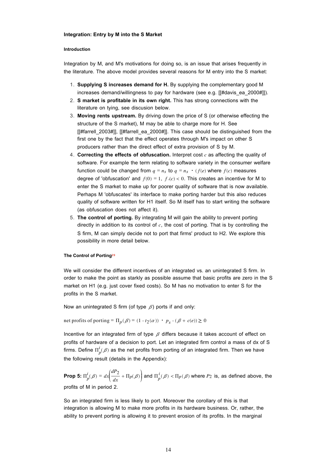#### **Integration: Entry by M into the S Market**

#### **Introduction**

Integration by M, and M's motivations for doing so, is an issue that arises frequently in the literature. The above model provides several reasons for M entry into the S market:

- **Supplying S increases demand for H.** By supplying the complementary good M 1. increases demand/willingness to pay for hardware (see e.g. [[#davis\_ea\_2000#]]).
- 2. **S market is profitable in its own right.** This has strong connections with the literature on tying, see discusion below.
- **Moving rents upstream.** By driving down the price of S (or otherwise effecting the 3. structure of the S market), M may be able to charge more for H. See [[#farrell\_2003#]], [[#farrell\_ea\_2000#]]. This case should be distinguished from the first one by the fact that the effect operates through M's impact on other S producers rather than the direct effect of extra provision of S by M.
- 4. Correcting the effects of obfuscation. Interpret cost  $c$  as affecting the quality of software. For example the term relating to software variety in the consumer welfare function could be changed from  $q = n_s$  to  $q = n_s \cdot (f(e))$  where  $f(c)$  measures degree of 'obfuscation' and  $f(0) = 1$ ,  $f(c) < 0$ . This creates an incentive for M to enter the S market to make up for poorer quality of software that is now available. Perhaps M 'obfuscates' its interface to make porting harder but this also reduces quality of software written for H1 itself. So M itself has to start writing the software (as obfuscation does not affect it).
- **The control of porting.** By integrating M will gain the ability to prevent porting 5. directly in addition to its control of *c*, the cost of porting. That is by controlling the S firm, M can simply decide not to port that firms' product to H2. We explore this possibility in more detail below.

#### **The Control of Porting29**

We will consider the different incentives of an integrated vs. an unintegrated S firm. In order to make the point as starkly as possible assume that basic profits are zero in the S market on H1 (e.g. just cover fixed costs). So M has no motivation to enter S for the profits in the S market.

Now an unintegrated S firm (of type  $\beta$ ) ports if and only:

net profits of porting =  $\Pi_p(\beta) = (1 - t_2(\alpha)) \cdot p_s - (\beta + c(e)) \ge 0$ 

Incentive for an integrated firm of type  $\beta$  differs because it takes account of effect on profits of hardware of a decision to port. Let an integrated firm control a mass of dx of S firms. Define  $\Pi_p^i(\beta)$  as the net profits from porting of an integrated firm. Then we have the following result (details in the Appendix):

**Prop 5:**  $\Pi_p^i(\beta) = dx$  $\overline{\phantom{a}}$  $\int \frac{dP_2}{dt}$  $\frac{dP_2}{dx}$  +  $\Pi_p(\beta)$  $\prime$ and  $\Pi_p^i(\beta) < \Pi_p(\beta)$  where  $P_2$  is, as defined above, the profits of M in period 2.

So an integrated firm is less likely to port. Moreover the corollary of this is that integration is allowing M to make more profits in its hardware business. Or, rather, the ability to prevent porting is allowing it to prevent erosion of its profits. In the marginal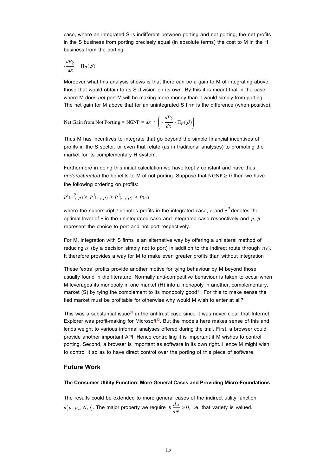case, where an integrated S is indifferent between porting and not porting, the net profits in the S business from porting precisely equal (in absolute terms) the cost to M in the H business from the porting:

$$
-\frac{dP_2}{dx} = \Pi_p(\beta)
$$

Moreover what this analysis shows is that there can be a gain to M of integrating above those that would obtain to its S division on its own. By this it is meant that in the case where M does *not* port M will be making more money than it would simply from porting. The net gain for M above that for an unintegrated S firm is the difference (when positive):

Net Gain from Not Porting = NGNP =  $dx \cdot$  $\overline{\phantom{a}}$  $\vert$  - $\frac{dP_2}{dx}$  -  $\Pi_p(\beta)$  $\overline{J}$ ¯¯ ¯¯

Thus M has incentives to integrate that go beyond the simple financial incentives of profits in the S sector, or even that relate (as in traditional analyses) to promoting the market for its complementary H system.

Furthermore in doing this initial calculation we have kept *e* constant and have thus *underestimated* the benefits to M of not porting. Suppose that  $NGNP \geq 0$  then we have the following ordering on profits:

$$
P^{i}(e^{i}, \bar{p}) \ge P^{i}(e, \bar{p}) \ge P^{i}(e, p) \ge P(e)
$$

where the superscript *i* denotes profits in the integrated case,  $e$  and  $e^{2}$  denotes the optimal level of  $e$  in the unintegrated case and integrated case respectively and  $p, \bar{p}$ represent the choice to port and not port respectively.

For M, integration with S firms is an alternative way by offering a unilateral method of reducing  $\alpha$  (by a decision simply not to port) in addition to the indirect route through  $c(e)$ . It therefore provides a way for M to make even greater profits than without integration

These 'extra' profits provide another motive for tying behaviour by M beyond those usually found in the literature. Normally anti-competitive behaviour is taken to occur when M leverages its monopoly in one market (H) into a monopoly in another, complementary, market (S) by tying the complement to its monopoly good $\mathfrak{D}$ . For this to make sense the tied market must be profitable for otherwise why would M wish to enter at all?

This was a substantial issue $31$  in the antitrust case since it was never clear that Internet Explorer was profit-making for Microsoft $2$ . But the models here makes sense of this and lends weight to various informal analyses offered during the trial. First, a browser could provide another important API. Hence controlling it is important if M wishes to control porting. Second, a browser is important as software in its own right. Hence M might wish to control it so as to have direct control over the porting of this piece of software.

### **Future Work**

#### **The Consumer Utility Function: More General Cases and Providing Micro-Foundations**

The results could be extended to more general cases of the indirect utility function  $u(p, p_s, N, t)$ . The major property we require is  $\frac{du}{dN} > 0$ , i.e. that variety is valued.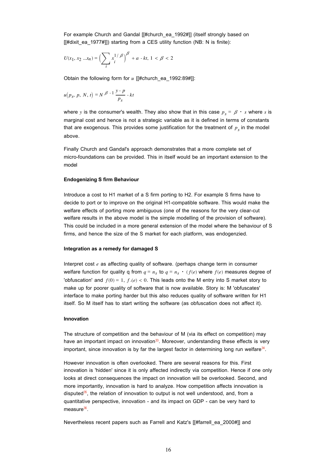For example Church and Gandal [[#church\_ea\_1992#]] (itself strongly based on  $[[\text{#dixit}$  ea 1977#]]) starting from a CES utility function (NB: N is finite):

$$
U(x_1,x_2\ldots x_n)=\Bigl(\sum_i x_i^{1/\beta}\Bigr)^\beta+a\text{ - }kt,\,1<\beta<2
$$

Obtain the following form for *u* [[#church\_ea\_1992:89#]]:

$$
u(p_s, p, N, t) = N^{\beta - 1} \frac{y - p}{p_s} - kt
$$

where *y* is the consumer's wealth. They also show that in this case  $p_s = \beta \cdot s$  where *s* is marginal cost and hence is not a strategic variable as it is defined in terms of constants that are exogenous. This provides some justification for the treatment of  $p<sub>s</sub>$  in the model above.

Finally Church and Gandal's approach demonstrates that a more complete set of micro-foundations can be provided. This in itself would be an important extension to the model

#### **Endogenizing S firm Behaviour**

Introduce a cost to H1 market of a S firm porting to H2. For example S firms have to decide to port or to improve on the original H1-compatible software. This would make the welfare effects of porting more ambiguous (one of the reasons for the very clear-cut welfare results in the above model is the simple modelling of the provision of software). This could be included in a more general extension of the model where the behaviour of S firms, and hence the size of the S market for each platform, was endogenzied.

#### **Integration as a remedy for damaged S**

Interpret cost *e* as affecting quality of software. (perhaps change term in consumer welfare function for quality q from  $q = n_s$  to  $q = n_s \cdot (f(e))$  where  $f(e)$  measures degree of 'obfuscation' and  $f(0) = 1$ ,  $f(e) < 0$ . This leads onto the M entry into S market story to make up for poorer quality of software that is now available. Story is: M 'obfuscates' interface to make porting harder but this also reduces quality of software written for H1 itself. So M itself has to start writing the software (as obfuscation does not affect it).

#### **Innovation**

The structure of competition and the behaviour of M (via its effect on competition) may have an important impact on innovation $33$ . Moreover, understanding these effects is very important, since innovation is by far the largest factor in determining long run welfare $34$ .

However innovation is often overlooked. There are several reasons for this. First innovation is 'hidden' since it is only affected indirectly via competition. Hence if one only looks at direct consequences the impact on innovation will be overlooked. Second, and more importantly, innovation is hard to analyze. How competition affects innovation is disputed $35$ , the relation of innovation to output is not well understood, and, from a quantitative perspective, innovation - and its impact on GDP - can be very hard to measure<sup>36</sup>.

Nevertheless recent papers such as Farrell and Katz's [[#farrell\_ea\_2000#]] and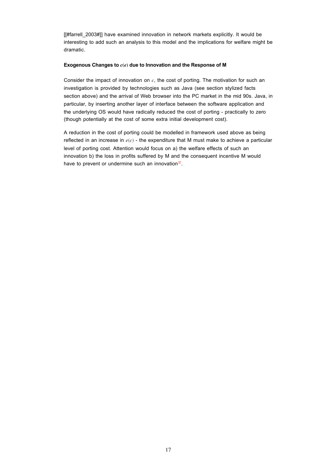[[#farrell 2003#]] have examined innovation in network markets explicitly. It would be interesting to add such an analysis to this model and the implications for welfare might be dramatic.

#### **Exogenous Changes to** *c***(***e***) due to Innovation and the Response of M**

Consider the impact of innovation on *c*, the cost of porting. The motivation for such an investigation is provided by technologies such as Java (see section stylized facts section above) and the arrival of Web browser into the PC market in the mid 90s. Java, in particular, by inserting another layer of interface between the software application and the underlying OS would have radically reduced the cost of porting - practically to zero (though potentially at the cost of some extra initial development cost).

A reduction in the cost of porting could be modelled in framework used above as being reflected in an increase in *e*(*c*) - the expenditure that M must make to achieve a particular level of porting cost. Attention would focus on a) the welfare effects of such an innovation b) the loss in profits suffered by M and the consequent incentive M would have to prevent or undermine such an innovation $37$ .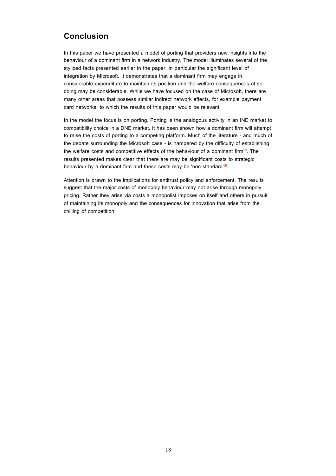# **Conclusion**

In this paper we have presented a model of porting that providers new insights into the behaviour of a dominant firm in a network industry. The model illuminates several of the stylized facts presented earlier in the paper, in particular the significant level of integration by Microsoft. It demonstrates that a dominant firm may engage in considerable expenditure to maintain its position and the welfare consequences of so doing may be considerable. While we have focused on the case of Microsoft, there are many other areas that possess similar indirect network effects, for example payment card networks, to which the results of this paper would be relevant.

In the model the focus is on porting. Porting is the analogous activity in an INE market to compatibility choice in a DNE market. It has been shown how a dominant firm will attempt to raise the costs of porting to a competing platform. Much of the literature - and much of the debate surrounding the Microsoft case - is hampered by the difficulty of establishing the welfare costs and competitive effects of the behaviour of a dominant firm $38$ . The results presented makes clear that there are may be significant costs to strategic behaviour by a dominant firm and these costs may be 'non-standard'<sup>39</sup>.

Attention is drawn to the implications for antitrust policy and enforcement. The results suggest that the major costs of monopoly behaviour may not arise through monopoly pricing. Rather they arise via costs a monopolist imposes on itself and others in pursuit of maintaining its monopoly and the consequences for innovation that arise from the chilling of competition.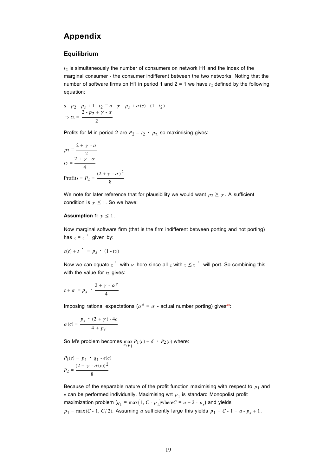# **Appendix**

### **Equilibrium**

*t*2 is simultaneously the number of consumers on network H1 and the index of the marginal consumer - the consumer indifferent between the two networks. Noting that the number of software firms on H1 in period 1 and  $2 = 1$  we have  $t_2$  defined by the following equation:

$$
a - p_2 - p_s + 1 - t_2 = a - \gamma - p_s + \alpha(e) - (1 - t_2)
$$
  
\n
$$
\Rightarrow t_2 = \frac{2 - p_2 + \gamma - \alpha}{2}
$$

Profits for M in period 2 are  $P_2 = t_2 \cdot p_2$  so maximising gives:

$$
p_2 = \frac{2 + \gamma - \alpha}{2}
$$
  
\n
$$
t_2 = \frac{2 + \gamma - \alpha}{4}
$$
  
\n
$$
Profits = P_2 = \frac{(2 + \gamma - \alpha)^2}{8}
$$

We note for later reference that for plausibility we would want  $p_2 \ge \gamma$ . A sufficient condition is  $y \le 1$ . So we have:

#### **Assumption 1:**  $y \leq 1$ .

Now marginal software firm (that is the firm indifferent between porting and not porting) has  $z = z$  given by:

$$
c(e) + z \quad = p_s \quad (1 - t_2)
$$

Now we can equate  $z^+$  with  $\alpha$  here since all  $z$  with  $z \leq z^+$  will port. So combining this with the value for  $t_2$  gives:

$$
c + \alpha = p_s \cdot \frac{2 + \gamma \cdot \alpha^e}{4}
$$

Imposing rational expectations ( $\alpha^e = \alpha$  - actual number porting) gives<sup>40</sup>:

$$
\alpha(c) = \frac{p_s \cdot (2 + \gamma) - 4c}{4 + p_s}
$$

So M's problem becomes  $\max_{c, p_1} P_1(c) + \delta \cdot P_2(c)$  where:

$$
P_1(e) = p_1 \cdot q_1 \cdot e(c)
$$
  

$$
P_2 = \frac{(2 + \gamma \cdot \alpha(c))^2}{8}
$$

Because of the separable nature of the profit function maximising with respect to  $p_1$  and  $e$  can be performed individually. Maximising wrt  $p_1$  is standard Monopolist profit maximization problem  $(q_1 = \max(1, C - p_1)$ where $C = a + 2 - p_s$ ) and yields  $p_1 = \max(C - 1, C/2)$ . Assuming *a* sufficiently large this yields  $p_1 = C - 1 = a - p_s + 1$ .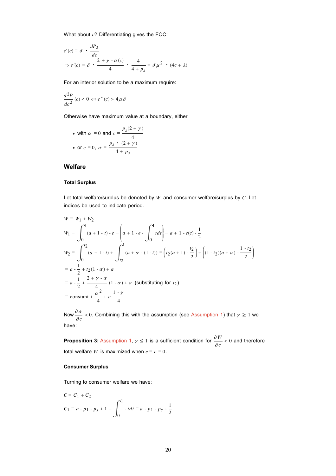What about *c*? Differentiating gives the FOC:

$$
e'(c) = \delta \cdot \frac{dP_2}{dc}
$$
  
\n
$$
\Rightarrow e'(c) = \delta \cdot \frac{2 + \gamma \cdot \alpha(c)}{4} \cdot \frac{4}{4 + p_s} = \delta \mu^2 \cdot (4c + \lambda)
$$

For an interior solution to be a maximum require:

$$
\frac{d^2P}{dc^2}(c) < 0 \Leftrightarrow e\text{``}(c) > 4\mu\delta
$$

Otherwise have maximum value at a boundary, either

\n- with 
$$
\alpha = 0
$$
 and  $c = \frac{p_s(2 + \gamma)}{4}$
\n- or  $c = 0$ ,  $\alpha = \frac{p_s \cdot (2 + \gamma)}{4 + p_s}$
\n

### **Welfare**

#### **Total Surplus**

Let total welfare/surplus be denoted by *W* and consumer welfare/surplus by *C*. Let indices be used to indicate period.

$$
W = W_1 + W_2
$$
  
\n
$$
W_1 = \int_0^1 (a + 1 - t) \cdot e = \left(a + 1 - e - \int_0^1 t dt\right) = a + 1 - e(c) - \frac{1}{2}
$$
  
\n
$$
W_2 = \int_0^{\frac{\pi}{2}} (a + 1 - t) + \int_{\frac{\pi}{2}}^1 (a + \alpha - (1 - t)) = \left(t_2(a + 1) - \frac{t_2}{2}\right) + \left((1 - t_2)(a + \alpha) - \frac{1 - t_2}{2}\right)
$$
  
\n
$$
= a - \frac{1}{2} + t_2(1 - \alpha) + \alpha
$$
  
\n
$$
= a - \frac{1}{2} + \frac{2 + \gamma - \alpha}{4} (1 - \alpha) + \alpha \text{ (substituting for } t_2)
$$
  
\n
$$
= \text{constant} + \frac{\alpha^2}{4} + \alpha \frac{1 - \gamma}{4}
$$

Now  $\frac{\partial a}{\partial c}$  < 0. Combining this with the assumption (see Assumption 1) that  $\gamma \ge 1$  we have:

**Proposition 3:** Assumption 1,  $\gamma \le 1$  is a sufficient condition for  $\frac{\partial W}{\partial c} < 0$  and therefore total welfare *W* is maximized when  $e = c = 0$ .

#### **Consumer Surplus**

Turning to consumer welfare we have:

$$
C = C1 + C2
$$
  

$$
C1 = a - p1 - ps + 1 + \int_0^1 -tdt = a - p1 - ps + \frac{1}{2}
$$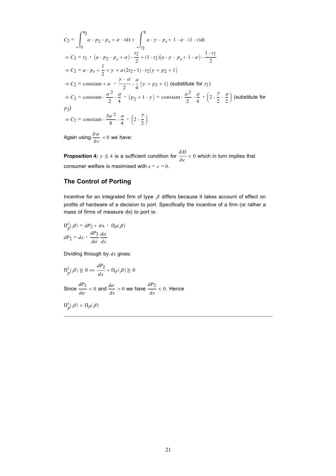$$
C_2 = \int_0^{r_2} a \cdot p_2 - p_s + \alpha \cdot t dt + \int_{r_2}^{r_1} a \cdot \gamma \cdot p_s + 1 \cdot \alpha \cdot (1 - t) dt
$$
  
\n
$$
\Rightarrow C_2 = t_2 \cdot (a \cdot p_2 - p_s + \alpha) \cdot \frac{t_2}{2} + (1 - t_2)(a \cdot \gamma \cdot p_s + 1 \cdot \alpha) \cdot \frac{1 - t_2}{2}
$$
  
\n
$$
\Rightarrow C_2 = a \cdot p_s + \frac{1}{2} + \gamma + \alpha (2t_2 - 1) \cdot t_2 (\gamma + p_2 + 1)
$$
  
\n
$$
\Rightarrow C_2 = \text{constant} + \alpha \cdot \frac{\gamma \cdot \alpha}{2} - \frac{\alpha}{4} (\gamma + p_2 + 1) \text{ (substitute for } t_2)
$$
  
\n
$$
\Rightarrow C_2 = \text{constant} - \frac{\alpha^2}{2} - \frac{\alpha}{4} \cdot (p_2 + 1 - \gamma) = \text{constant} - \frac{\alpha^2}{2} - \frac{\alpha}{4} \cdot (2 - \frac{\gamma}{2} - \frac{\alpha}{2}) \text{ (substitute for } p_2)
$$
  
\n
$$
\Rightarrow C_2 = \text{constant} - \frac{3\alpha^2}{8} - \frac{\alpha}{4} \cdot (2 - \frac{\gamma}{2})
$$

Again using  $\frac{\partial a}{\partial c} < 0$  we have:

**Proposition 4:**  $\gamma \leq 4$  is a sufficient condition for  $\frac{\partial D}{\partial c} < 0$  which in turn implies that consumer welfare is maximised with  $e = c = 0$ .

# **The Control of Porting**

Incentive for an integrated firm of type  $\beta$  differs because it takes account of effect on profits of hardware of a decision to port. Specifically the incentive of a firm (or rather a mass of firms of measure dx) to port is:

$$
\Pi_p^i(\beta) = dP_2 + dx \cdot \Pi_p(\beta)
$$

$$
dP_2 = dx \cdot \frac{dP_2}{d\alpha} \frac{d\alpha}{dx}
$$

Dividing through by *dx* gives:

$$
\Pi_p^i(\beta) \ge 0 \Leftrightarrow \frac{dP_2}{dx} + \Pi_p(\beta) \ge 0
$$
  
Since  $\frac{dP_2}{dx} < 0$  and  $\frac{d\alpha}{dx} > 0$  we have  $\frac{dP_2}{dx} < 0$ . Hence  
 $\Pi_p^i(\beta) < \Pi_p(\beta)$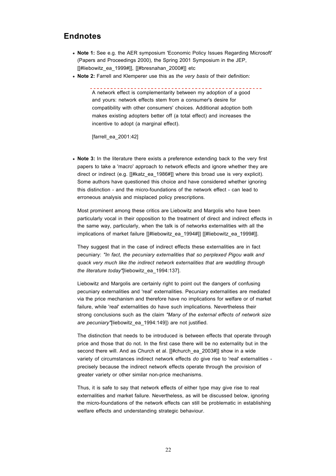# **Endnotes**

- **Note 1:** See e.g. the AER symposium 'Economic Policy Issues Regarding Microsoft' (Papers and Proceedings 2000), the Spring 2001 Symposium in the JEP, [[#liebowitz\_ea\_1999#]], [[#bresnahan\_2000#]] etc
- **Note 2:** Farrell and Klemperer use this as *the very basis* of their definition:

A network effect is complementarity between my adoption of a good and yours: network effects stem from a consumer's desire for compatibility with other consumers' choices. Additional adoption both makes existing adopters better off (a total effect) and increases the incentive to adopt (a marginal effect).

[farrell\_ea\_2001:42]

**Note 3:** In the literature there exists a preference extending back to the very first papers to take a 'macro' approach to network effects and ignore whether they are direct or indirect (e.g. [[#katz\_ea\_1986#]] where this broad use is very explicit). Some authors have questioned this choice and have considered whether ignoring this distinction - and the micro-foundations of the network effect - can lead to erroneous analysis and misplaced policy prescriptions.

Most prominent among these critics are Liebowitz and Margolis who have been particularly vocal in their opposition to the treatment of direct and indirect effects in the same way, particularly, when the talk is of networks externalities with all the implications of market failure [[#liebowitz\_ea\_1994#]] [[#liebowitz\_ea\_1999#]].

They suggest that in the case of indirect effects these externalities are in fact pecuniary: *"In fact, the pecuniary externalities that so perplexed Pigou walk and quack very much like the indirect network externalities that are waddling through the literature today"*[liebowitz\_ea\_1994:137].

Liebowitz and Margolis are certainly right to point out the dangers of confusing pecuniary externalities and 'real' externalities. Pecuniary externalities are mediated via the price mechanism and therefore have no implications for welfare or of market failure, while 'real' externalities do have such implications. Nevertheless their strong conclusions such as the claim *"Many of the external effects of network size are pecuniary"*[liebowitz\_ea\_1994:149]) are not justified.

The distinction that needs to be introduced is between effects that operate through price and those that do not. In the first case there will be no externality but in the second there will. And as Church et al. [[#church\_ea\_2003#]] show in a wide variety of circumstances indirect network effects *do* give rise to 'real' externalities precisely because the indirect network effects operate through the provision of greater variety or other similar non-price mechanisms.

Thus, it is safe to say that network effects of either type may give rise to real externalities and market failure. Nevertheless, as will be discussed below, ignoring the micro-foundations of the network effects can still be problematic in establishing welfare effects and understanding strategic behaviour.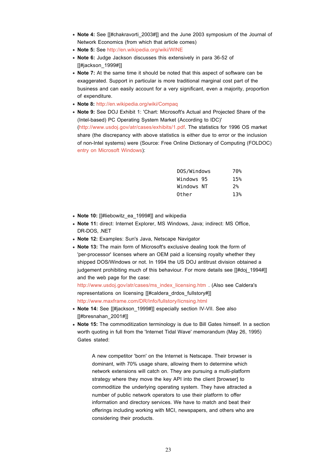- Note 4: See [[#chakravorti\_2003#]] and the June 2003 symposium of the Journal of Network Economics (from which that article comes)
- **Note 5:** See http://en.wikipedia.org/wiki/WINE
- **Note 6:** Judge Jackson discusses this extensively in para 36-52 of [[#jackson\_1999#]]
- **Note 7:** At the same time it should be noted that this aspect of software can be exaggerated. Support in particular is more traditional marginal cost part of the business and can easily account for a very significant, even a majority, proportion of expenditure.
- **Note 8:** http://en.wikipedia.org/wiki/Compaq
- **Note 9:** See DOJ Exhibit 1: 'Chart: Microsoft's Actual and Projected Share of the (Intel-based) PC Operating System Market (According to IDC)' (http://www.usdoj.gov/atr/cases/exhibits/1.pdf. The statistics for 1996 OS market share (the discrepancy with above statistics is either due to error or the inclusion of non-Intel systems) were (Source: Free Online Dictionary of Computing (FOLDOC) entry on Microsoft Windows):

| DOS/Windows | 70%   |
|-------------|-------|
| Windows 95  | 15%   |
| Windows NT  | $2\%$ |
| Other       | 13%   |

- Note 10: [[#liebowitz\_ea\_1999#]] and wikipedia
- **Note 11:** direct: Internet Explorer, MS Windows, Java; indirect: MS Office, DR-DOS, .NET
- **Note 12:** Examples: Sun's Java, Netscape Navigator
- **Note 13:** The main form of Microsoft's exclusive dealing took the form of 'per-processor' licenses where an OEM paid a licensing royalty whether they shipped DOS/Windows or not. In 1994 the US DOJ antitrust division obtained a judgement prohibiting much of this behaviour. For more details see [[#doj\_1994#]] and the web page for the case:

http://www.usdoj.gov/atr/cases/ms\_index\_licensing.htm . (Also see Caldera's representations on licensing [[#caldera\_drdos\_fullstory#]] http://www.maxframe.com/DR/Info/fullstory/licnsing.html

- **Note 14:** See [[#jackson\_1999#]] especially section IV-VII. See also [[#bresnahan\_2001#]]
- **Note 15:** The commoditization terminology is due to Bill Gates himself. In a section worth quoting in full from the 'Internet Tidal Wave' memorandum (May 26, 1995) Gates stated:

A new competitor 'born' on the Internet is Netscape. Their browser is dominant, with 70% usage share, allowing them to determine which network extensions will catch on. They are pursuing a multi-platform strategy where they move the key API into the client [browser] to commoditize the underlying operating system. They have attracted a number of public network operators to use their platform to offer information and directory services. We have to match and beat their offerings including working with MCI, newspapers, and others who are considering their products.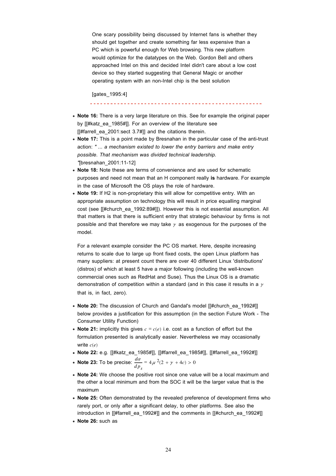One scary possibility being discussed by Internet fans is whether they should get together and create something far less expensive than a PC which is powerful enough for Web browsing. This new platform would optimize for the datatypes on the Web. Gordon Bell and others approached Intel on this and decided Intel didn't care about a low cost device so they started suggesting that General Magic or another operating system with an non-Intel chip is the best solution

[gates\_1995:4]

- **Note 16:** There is a very large literature on this. See for example the original paper by [[#katz\_ea\_1985#]]. For an overview of the literature see [[#farrell\_ea\_2001:sect 3.7#]] and the citations therein.
- **Note 17:** This is a point made by Bresnahan in the particular case of the anti-trust action: *" ... a mechanism existed to lower the entry barriers and make entry possible. That mechanism was divided technical leadership. "*[bresnahan\_2001:11-12]
- **Note 18:** Note these are terms of convenience and are used for schematic purposes and need not mean that an H component really **is** hardware. For example in the case of Microsoft the OS plays the role of hardware.
- **Note 19:** If H2 is non-proprietary this will allow for competitive entry. With an appropriate assumption on technology this will result in price equalling marginal cost (see If#church\_ea\_1992:89#11). However this is not essential assumption. All that matters is that there is sufficient entry that strategic behaviour by firms is not possible and that therefore we may take  $\gamma$  as exogenous for the purposes of the model.

For a relevant example consider the PC OS market. Here, despite increasing returns to scale due to large up front fixed costs, the open Linux platform has many suppliers: at present count there are over 40 different Linux 'distributions' (distros) of which at least 5 have a major following (including the well-known commercial ones such as RedHat and Suse). Thus the Linux OS is a dramatic demonstration of competition within a standard (and in this case it results in a  $\gamma$ that is, in fact, zero).

- **Note 20:** The discussion of Church and Gandal's model [[#church\_ea\_1992#]] below provides a justification for this assumption (in the section Future Work - The Consumer Utility Function)
- **Note 21:** implicitly this gives  $c = c(e)$  i.e. cost as a function of effort but the formulation presented is analytically easier. Nevertheless we may occasionally write *c*(*e*)
- **Note 22:** e.g. [[#katz\_ea\_1985#]], [[#farrell\_ea\_1985#]], [[#farrell\_ea\_1992#]]
- **Note 23:** To be precise: *d*<sup>a</sup>  $dp_s$  $= 4 \mu^{2}(2 + \gamma + 4c) > 0$
- **Note 24:** We choose the positive root since one value will be a local maximum and the other a local minimum and from the SOC it will be the larger value that is the maximum
- **Note 25:** Often demonstrated by the revealed preference of development firms who rarely port, or only after a significant delay, to other platforms. See also the introduction in [[#farrell\_ea\_1992#]] and the comments in [[#church\_ea\_1992#]]
- **Note 26:** such as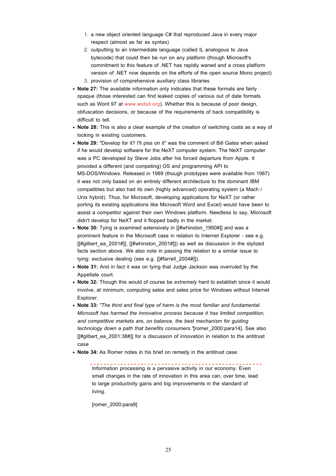- 1. a new object oriented language C# that reproduced Java in every major respect (almost as far as syntax)
- 2. outputting to an intermediate language (called IL analogous to Java bytecode) that could then be run on any platform (though Microsoft's commitment to this feature of .NET has rapidly waned and a cross platform version of .NET now depends on the efforts of the open source Mono project) 3. provision of comprehensive auxiliary class libraries
- **Note 27:** The available information only indicates that these formats are fairly opaque (those interested can find leaked copies of various out of date formats such as Word 97 at www.wotsit.org). Whether this is because of poor design. obfuscation decisions, or because of the requirements of back compatibility is difficult to tell.
- **Note 28:** This is also a clear example of the creation of switching costs as a way of locking in existing customers.
- **Note 29:** "Develop for it? I'll piss on it" was the comment of Bill Gates when asked if he would develop software for the NeXT computer system. The NeXT computer was a PC developed by Steve Jobs after his forced departure from Apple. It provided a different (and competing) OS and programming API to MS-DOS/Windows. Released in 1989 (though prototypes were available from 1987) it was not only based on an entirely different architecture to the dominant IBM compatibles but also had its own (highly advanced) operating system (a Mach / Unix hybrid). Thus, for Microsoft, developing applications for NeXT (or rather porting its existing applications like Microsoft Word and Excel) would have been to assist a competitor against their own Windows platform. Needless to say, Microsoft didn't develop for NeXT and it flopped badly in the market.
- **Note 30:** Tying is examined extensively in [[#whinston 1990#]] and was a prominent feature in the Microsoft case in relation to Internet Explorer - see e.g.  $[[\#gilbert$  ea 2001#]],  $[[\#whinston 2001#]]$ ) as well as discussion in the stylized facts section above. We also note in passing the relation to a similar issue to tying: exclusive dealing (see e.g. [[#farrell\_2004#]]).
- **Note 31:** And in fact it was on tying that Judge Jackson was overruled by the Appellate court.
- **Note 32:** Though this would of course be *extremely* hard to establish since it would involve, at minimum, computing sales and sales price for Windows without Internet Explorer.
- **Note 33:** *"The third and final type of harm is the most familiar and fundamental. Microsoft has harmed the innovative process because it has limited competition, and competitive markets are, on balance, the best mechanism for guiding technology down a path that benefits consumers."*[romer\_2000:para14]. See also  $[[\#qilbert$  ea 2001:38#]] for a discussion of innovation in relation to the antitrust case
- **Note 34:** As Romer notes in his brief on remedy in the antitrust case:

Information processing is a pervasive activity in our economy. Even small changes in the rate of innovation in this area can, over time, lead to large productivity gains and big improvements in the standard of living.

[romer\_2000:para9]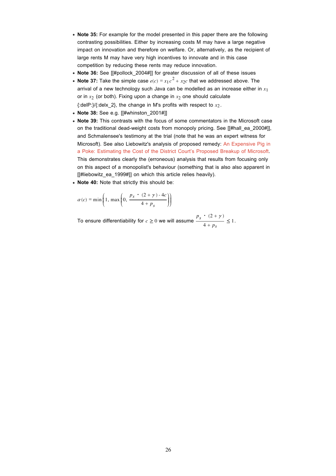- **Note 35:** For example for the model presented in this paper there are the following contrasting possibilities. Either by increasing costs M may have a large negative impact on innovation and therefore on welfare. Or, alternatively, as the recipient of large rents M may have very high incentives to innovate and in this case competition by reducing these rents may reduce innovation.
- **Note 36:** See [[#pollock 2004#]] for greater discussion of all of these issues
- **Note 37:** Take the simple case  $e(c) = x_1 c^2 + x_2 c$  that we addressed above. The arrival of a new technology such Java can be modelled as an increase either in *x*1 or in  $x_2$  (or both). Fixing upon a change in  $x_2$  one should calculate {:delP:}/{:delx\_2}, the change in M's profits with respect to *x*2.
- **Note 38:** See e.g. [[#whinston\_2001#]]
- **Note 39:** This contrasts with the focus of some commentators in the Microsoft case on the traditional dead-weight costs from monopoly pricing. See [[#hall\_ea\_2000#]], and Schmalensee's testimony at the trial (note that he was an expert witness for Microsoft). See also Liebowitz's analysis of proposed remedy: An Expensive Pig in a Poke: Estimating the Cost of the District Court's Proposed Breakup of Microsoft. This demonstrates clearly the (erroneous) analysis that results from focusing only on this aspect of a monopolist's behaviour (something that is also also apparent in [[#liebowitz\_ea\_1999#]] on which this article relies heavily).
- **Note 40:** Note that strictly this should be:

$$
\alpha(c) = \min\left(1, \max\left(0, \frac{p_s \cdot (2 + \gamma) - 4c}{4 + p_s}\right)\right)
$$

To ensure differentiability for  $c \ge 0$  we will assume  $\frac{p_s \cdot (2 + \gamma)}{4}$  $\frac{1}{4 + p_s} \leq 1.$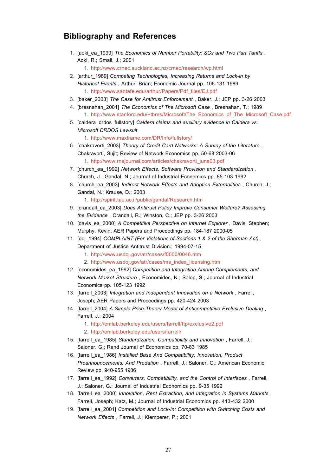# **Bibliography and References**

- 1. [aoki\_ea\_1999] The Economics of Number Portability: SCs and Two Part Tariffs, Aoki, R.; Small, J.; 2001 1. http://www.crnec.auckland.ac.nz/crnec/research/wp.html
- 2. [arthur\_1989] Competing Technologies, Increasing Returns and Lock-in by *Historical Events* , Arthur, Brian; Economic Journal pp. 106-131 1989 1. http://www.santafe.edu/arthur/Papers/Pdf\_files/EJ.pdf
- 3. [baker\_2003] *The Case for Antitrust Enforcement* , Baker, J.; JEP pp. 3-26 2003
- 4. [bresnahan\_2001] *The Economics of The Microsoft Case*, Bresnahan, T.; 1989 1. http://www.stanford.edu/~tbres/Microsoft/The\_Economics\_of\_The\_Microsoft\_Case.pdf
- [caldera\_drdos\_fullstory] *Caldera claims and auxiliary evidence in Caldera vs.*  5. *Microsoft DRDOS Lawsuit*

1. http://www.maxframe.com/DR/Info/fullstory/

- 6. [chakravorti\_2003] Theory of Credit Card Networks: A Survey of the Literature, Chakravorti, Sujit; Review of Network Economics pp. 50-68 2003-06 1. http://www.rnejournal.com/articles/chakravorti\_june03.pdf
- 7. [church\_ea\_1992] Network Effects, Software Provision and Standardization, Church, J.; Gandal, N.; Journal of Industrial Economics pp. 85-103 1992
- 8. [church\_ea\_2003] *Indirect Network Effects and Adoption Externalities*, Church, J.; Gandal, N.; Krause, D.; 2003
	- 1. http://spirit.tau.ac.il/public/gandal/Research.htm
- 9. [crandall\_ea\_2003] *Does Antitrust Policy Improve Consumer Welfare? Assessing the Evidence* , Crandall, R.; Winston, C.; JEP pp. 3-26 2003
- 10. [davis\_ea\_2000] A Competitive Perspective on Internet Explorer, Davis, Stephen; Murphy, Kevin; AER Papers and Proceedings pp. 184-187 2000-05
- 11. [doj\_1994] *COMPLAINT (For Violations of Sections 1 & 2 of the Sherman Act)*,
	- Department of Justice Antitrust Division.; 1994-07-15
		- 1. http://www.usdoj.gov/atr/cases/f0000/0046.htm
		- 2. http://www.usdoj.gov/atr/cases/ms\_index\_licensing.htm
- 12. [economides\_ea\_1992] *Competition and Integration Among Complements, and Network Market Structure* , Economides, N.; Salop, S.; Journal of Industrial Economics pp. 105-123 1992
- 13. [farrell\_2003] Integration and Independent Innovation on a Network, Farrell, Joseph; AER Papers and Proceedings pp. 420-424 2003
- 14. [farrell\_2004] A Simple Price-Theory Model of Anticompetitive Exclusive Dealing, Farrell, J.; 2004
	- 1. http://emlab.berkeley.edu/users/farrell/ftp/exclusive2.pdf
	- 2. http://emlab.berkeley.edu/users/farrell/
- 15. [farrell\_ea\_1985] *Standardization, Compatibility and Innovation*, Farrell, J.; Saloner, G.; Rand Journal of Economics pp. 70-83 1985
- 16. [farrell\_ea\_1986] Installed Base And Compatibility: Innovation, Product *Preannouncements, And Predation* , Farrell, J.; Saloner, G.; American Economic Review pp. 940-955 1986
- 17. [farrell\_ea\_1992] Converters, Compatibility, and the Control of Interfaces, Farrell, J.; Saloner, G.; Journal of Industrial Economics pp. 9-35 1992
- 18. [farrell\_ea\_2000] *Innovation, Rent Extraction, and Integration in Systems Markets*, Farrell, Joseph; Katz, M.; Journal of Industrial Economics pp. 413-432 2000
- 19. [farrell\_ea\_2001] *Competition and Lock-In: Competition with Switching Costs and Network Effects* , Farrell, J.; Klemperer, P.; 2001